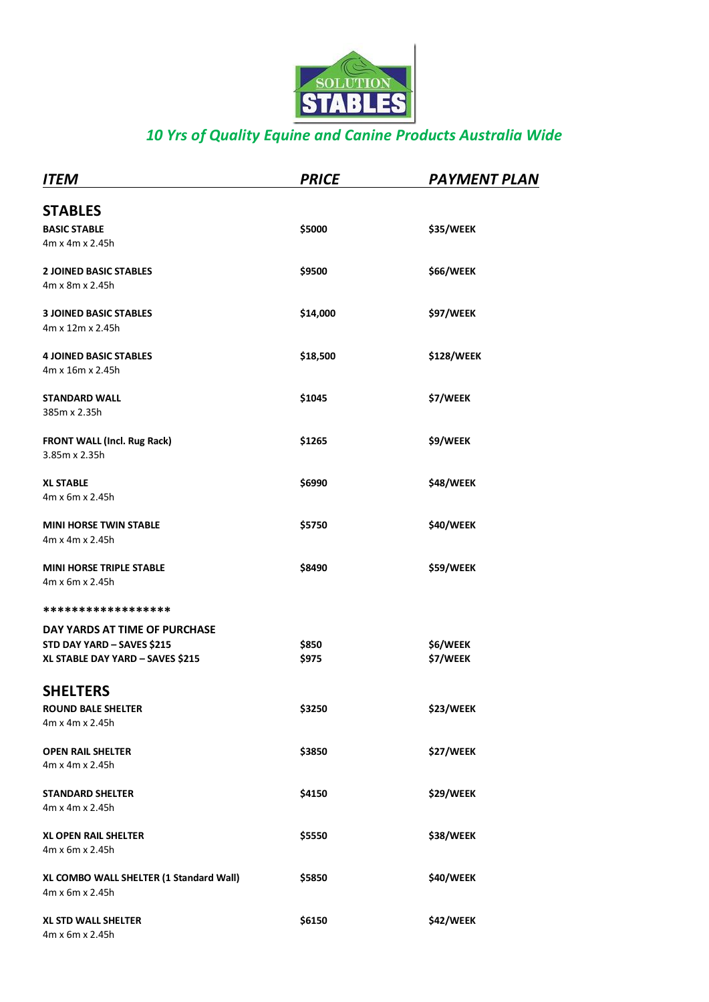

# *10 Yrs of Quality Equine and Canine Products Australia Wide*

| ITEM                                                                                            | <b>PRICE</b>   | <b>PAYMENT PLAN</b>  |
|-------------------------------------------------------------------------------------------------|----------------|----------------------|
| <b>STABLES</b><br><b>BASIC STABLE</b><br>4m x 4m x 2.45h                                        | \$5000         | \$35/WEEK            |
| <b>2 JOINED BASIC STABLES</b><br>4m x 8m x 2.45h                                                | \$9500         | \$66/WEEK            |
| <b>3 JOINED BASIC STABLES</b><br>4m x 12m x 2.45h                                               | \$14,000       | \$97/WEEK            |
| <b>4 JOINED BASIC STABLES</b><br>4m x 16m x 2.45h                                               | \$18,500       | \$128/WEEK           |
| <b>STANDARD WALL</b><br>385m x 2.35h                                                            | \$1045         | \$7/WEEK             |
| FRONT WALL (Incl. Rug Rack)<br>3.85m x 2.35h                                                    | \$1265         | \$9/WEEK             |
| <b>XL STABLE</b><br>4m x 6m x 2.45h                                                             | \$6990         | \$48/WEEK            |
| <b>MINI HORSE TWIN STABLE</b><br>4m x 4m x 2.45h                                                | \$5750         | \$40/WEEK            |
| <b>MINI HORSE TRIPLE STABLE</b><br>4m x 6m x 2.45h                                              | \$8490         | \$59/WEEK            |
| ******************                                                                              |                |                      |
| DAY YARDS AT TIME OF PURCHASE<br>STD DAY YARD - SAVES \$215<br>XL STABLE DAY YARD - SAVES \$215 | \$850<br>\$975 | \$6/WEEK<br>\$7/WEEK |
| <b>SHELTERS</b><br><b>ROUND BALE SHELTER</b><br>4m x 4m x 2.45h                                 | \$3250         | \$23/WEEK            |
| <b>OPEN RAIL SHELTER</b><br>4m x 4m x 2.45h                                                     | \$3850         | \$27/WEEK            |
| <b>STANDARD SHELTER</b><br>4m x 4m x 2.45h                                                      | \$4150         | \$29/WEEK            |
| <b>XL OPEN RAIL SHELTER</b><br>4m x 6m x 2.45h                                                  | \$5550         | \$38/WEEK            |
| XL COMBO WALL SHELTER (1 Standard Wall)<br>4m x 6m x 2.45h                                      | \$5850         | \$40/WEEK            |
| <b>XL STD WALL SHELTER</b><br>4m x 6m x 2.45h                                                   | \$6150         | \$42/WEEK            |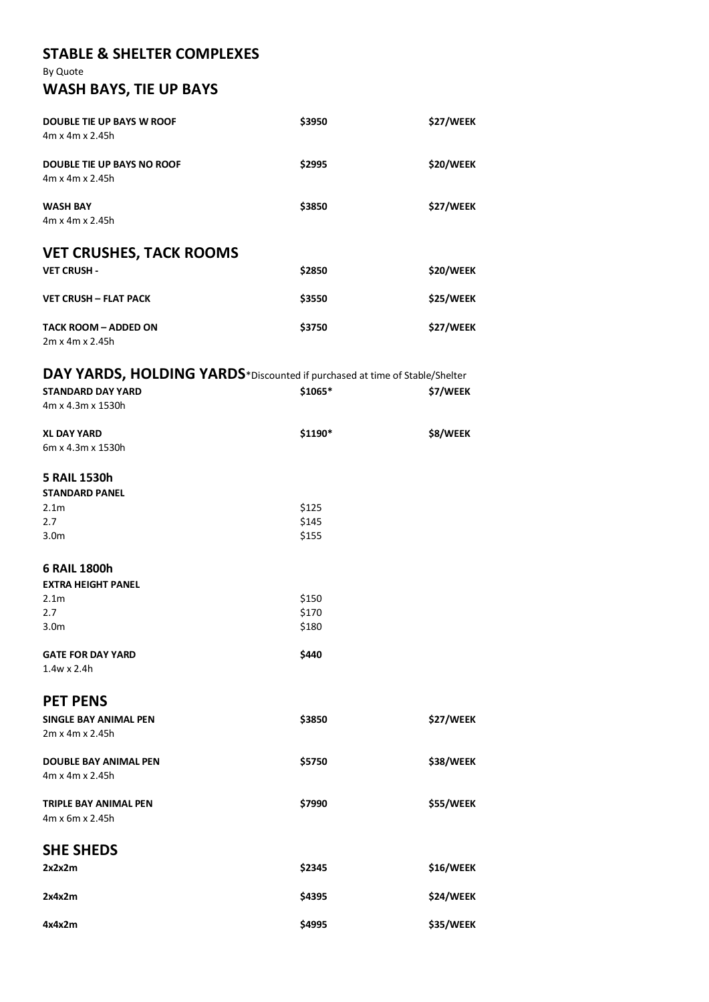### **STABLE & SHELTER COMPLEXES**

By Quote

# **WASH BAYS, TIE UP BAYS**

| <b>DOUBLE TIE UP BAYS W ROOF</b><br>$4m \times 4m \times 2.45h$ | \$3950 | \$27/WEEK |
|-----------------------------------------------------------------|--------|-----------|
| <b>DOUBLE TIE UP BAYS NO ROOF</b><br>4m x 4m x 2.45h            | \$2995 | \$20/WEEK |
| <b>WASH BAY</b><br>4m x 4m x 2.45h                              | \$3850 | \$27/WEEK |
| <b>VET CRUSHES, TACK ROOMS</b>                                  |        |           |
| <b>VET CRUSH -</b>                                              | \$2850 | \$20/WEEK |
| <b>VET CRUSH - FLAT PACK</b>                                    | \$3550 | \$25/WEEK |
| <b>TACK ROOM - ADDED ON</b><br>$2m \times 4m \times 2.45h$      | \$3750 | \$27/WEEK |

# **DAY YARDS, HOLDING YARDS**\*Discounted if purchased at time of Stable/Shelter

| <b>STANDARD DAY YARD</b><br>4m x 4.3m x 1530h | \$1065* | \$7/WEEK  |
|-----------------------------------------------|---------|-----------|
| <b>XL DAY YARD</b>                            | \$1190* | \$8/WEEK  |
| 6m x 4.3m x 1530h                             |         |           |
| <b>5 RAIL 1530h</b>                           |         |           |
| <b>STANDARD PANEL</b>                         |         |           |
| 2.1 <sub>m</sub>                              | \$125   |           |
| 2.7                                           | \$145   |           |
| 3.0 <sub>m</sub>                              | \$155   |           |
| 6 RAIL 1800h                                  |         |           |
| <b>EXTRA HEIGHT PANEL</b>                     |         |           |
| 2.1 <sub>m</sub>                              | \$150   |           |
| 2.7                                           | \$170   |           |
| 3.0m                                          | \$180   |           |
| <b>GATE FOR DAY YARD</b>                      | \$440   |           |
| $1.4w \times 2.4h$                            |         |           |
| <b>PET PENS</b>                               |         |           |
| <b>SINGLE BAY ANIMAL PEN</b>                  | \$3850  | \$27/WEEK |
| 2m x 4m x 2.45h                               |         |           |
| <b>DOUBLE BAY ANIMAL PEN</b>                  | \$5750  | \$38/WEEK |
| 4m x 4m x 2.45h                               |         |           |
| TRIPLE BAY ANIMAL PEN                         | \$7990  | \$55/WEEK |
| 4m x 6m x 2.45h                               |         |           |
| <b>SHE SHEDS</b>                              |         |           |
| 2x2x2m                                        | \$2345  | \$16/WEEK |
| 2x4x2m                                        | \$4395  | \$24/WEEK |
| 4x4x2m                                        | \$4995  | \$35/WEEK |